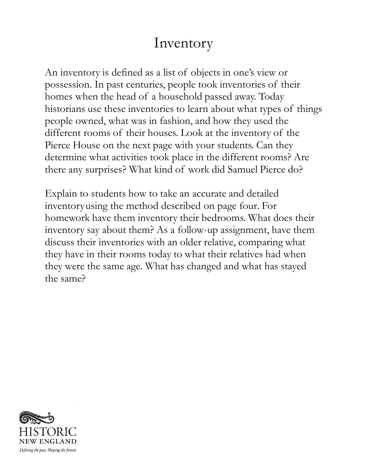## Inventory

An inventory is defined as a list of objects in one's view or possession. In past centuries, people took inventories of their homes when the head of a household passed away. Today historians use these inventories to learn about what types of things people owned, what was in fashion, and how they used the different rooms of their houses. Look at the inventory of the Pierce House on the next page with your students. Can they determine what activities took place in the different rooms? Are there any surprises? What kind of work did Samuel Pierce do?

Explain to students how to take an accurate and detailed inventory using the method described on page four. For homework have them inventory their bedrooms. What does their inventory say about them? As a follow-up assignment, have them discuss their inventories with an older relative, comparing what they have in their rooms today to what their relatives had when they were the same age. What has changed and what has stayed the same?

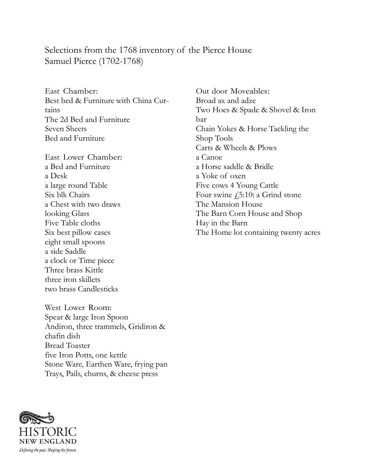## Selections from the 1768 inventory of the Pierce House Samuel Pierce (1702-1768)

East Chamber: Best bed & Furniture with China Curtains The 2d Bed and Furniture Seven Sheets Bed and Furniture

East Lower Chamber: a Bed and Furniture a Desk a large round Table Six blk Chairs a Chest with two draws looking Glass Five Table cloths Six best pillow cases eight small spoons a side Saddle a clock or Time piece Three brass Kittle three iron skillets two brass Candlesticks

West Lower Room: Spear & large Iron Spoon Andiron, three trammels, Gridiron & chafin dish Bread Toaster five Iron Potts, one kettle Stone Ware, Earthen Ware, frying pan Trays, Pails, churns, & cheese press

Out door Moveables: Broad ax and adze Two Hoes & Spade & Shovel & Iron bar Chain Yokes & Horse Tackling the Shop Tools Carts & Wheels & Plows a Canoe a Horse saddle & Bridle a Yoke of oxen Five cows 4 Young Cattle Four swine  $f_{15}:10:$  a Grind stone The Mansion House The Barn Corn House and Shop Hay in the Barn The Home lot containing twenty acres

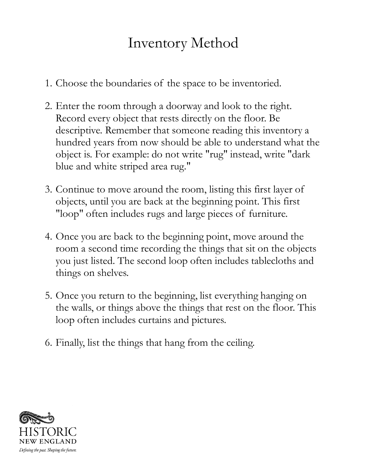## Inventory Method

- 1. Choose the boundaries of the space to be inventoried.
- 2. Enter the room through a doorway and look to the right. Record every object that rests directly on the floor. Be descriptive. Remember that someone reading this inventory a hundred years from now should be able to understand what the object is. For example: do not write "rug" instead, write "dark blue and white striped area rug."
- 3. Continue to move around the room, listing this first layer of objects, until you are back at the beginning point. This first "loop" often includes rugs and large pieces of furniture.
- 4. Once you are back to the beginning point, move around the room a second time recording the things that sit on the objects you just listed. The second loop often includes tablecloths and things on shelves.
- 5. Once you return to the beginning, list everything hanging on the walls, or things above the things that rest on the floor. This loop often includes curtains and pictures.
- 6. Finally, list the things that hang from the ceiling.